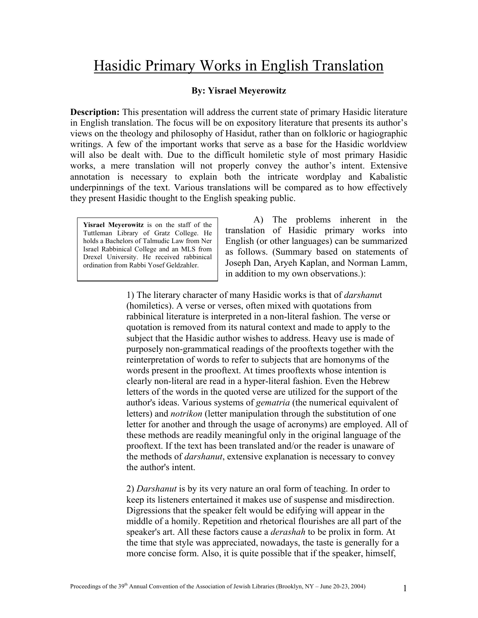## Hasidic Primary Works in English Translation

#### **By: Yisrael Meyerowitz**

**Description:** This presentation will address the current state of primary Hasidic literature in English translation. The focus will be on expository literature that presents its author's views on the theology and philosophy of Hasidut, rather than on folkloric or hagiographic writings. A few of the important works that serve as a base for the Hasidic worldview will also be dealt with. Due to the difficult homiletic style of most primary Hasidic works, a mere translation will not properly convey the author's intent. Extensive annotation is necessary to explain both the intricate wordplay and Kabalistic underpinnings of the text. Various translations will be compared as to how effectively they present Hasidic thought to the English speaking public.

**Yisrael Meyerowitz** is on the staff of the Tuttleman Library of Gratz College. He holds a Bachelors of Talmudic Law from Ner Israel Rabbinical College and an MLS from Drexel University. He received rabbinical ordination from Rabbi Yosef Geldzahler.

A) The problems inherent in the translation of Hasidic primary works into English (or other languages) can be summarized as follows. (Summary based on statements of Joseph Dan, Aryeh Kaplan, and Norman Lamm, in addition to my own observations.):

1) The literary character of many Hasidic works is that of *darshanu*t (homiletics). A verse or verses, often mixed with quotations from rabbinical literature is interpreted in a non-literal fashion. The verse or quotation is removed from its natural context and made to apply to the subject that the Hasidic author wishes to address. Heavy use is made of purposely non-grammatical readings of the prooftexts together with the reinterpretation of words to refer to subjects that are homonyms of the words present in the prooftext. At times prooftexts whose intention is clearly non-literal are read in a hyper-literal fashion. Even the Hebrew letters of the words in the quoted verse are utilized for the support of the author's ideas. Various systems of *gematria* (the numerical equivalent of letters) and *notrikon* (letter manipulation through the substitution of one letter for another and through the usage of acronyms) are employed. All of these methods are readily meaningful only in the original language of the prooftext. If the text has been translated and/or the reader is unaware of the methods of *darshanut*, extensive explanation is necessary to convey the author's intent.

 2) *Darshanut* is by its very nature an oral form of teaching. In order to keep its listeners entertained it makes use of suspense and misdirection. Digressions that the speaker felt would be edifying will appear in the middle of a homily. Repetition and rhetorical flourishes are all part of the speaker's art. All these factors cause a *derashah* to be prolix in form. At the time that style was appreciated, nowadays, the taste is generally for a more concise form. Also, it is quite possible that if the speaker, himself,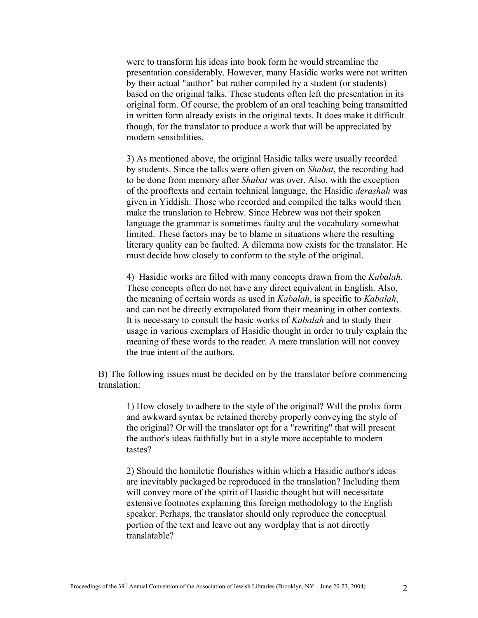were to transform his ideas into book form he would streamline the presentation considerably. However, many Hasidic works were not written by their actual "author" but rather compiled by a student (or students) based on the original talks. These students often left the presentation in its original form. Of course, the problem of an oral teaching being transmitted in written form already exists in the original texts. It does make it difficult though, for the translator to produce a work that will be appreciated by modern sensibilities.

3) As mentioned above, the original Hasidic talks were usually recorded by students. Since the talks were often given on *Shabat*, the recording had to be done from memory after *Shabat* was over. Also, with the exception of the prooftexts and certain technical language, the Hasidic *derashah* was given in Yiddish. Those who recorded and compiled the talks would then make the translation to Hebrew. Since Hebrew was not their spoken language the grammar is sometimes faulty and the vocabulary somewhat limited. These factors may be to blame in situations where the resulting literary quality can be faulted. A dilemma now exists for the translator. He must decide how closely to conform to the style of the original.

4) Hasidic works are filled with many concepts drawn from the *Kabalah*. These concepts often do not have any direct equivalent in English. Also, the meaning of certain words as used in *Kabalah*, is specific to *Kabalah*, and can not be directly extrapolated from their meaning in other contexts. It is necessary to consult the basic works of *Kabalah* and to study their usage in various exemplars of Hasidic thought in order to truly explain the meaning of these words to the reader. A mere translation will not convey the true intent of the authors.

B) The following issues must be decided on by the translator before commencing translation:

1) How closely to adhere to the style of the original? Will the prolix form and awkward syntax be retained thereby properly conveying the style of the original? Or will the translator opt for a "rewriting" that will present the author's ideas faithfully but in a style more acceptable to modern tastes?

2) Should the homiletic flourishes within which a Hasidic author's ideas are inevitably packaged be reproduced in the translation? Including them will convey more of the spirit of Hasidic thought but will necessitate extensive footnotes explaining this foreign methodology to the English speaker. Perhaps, the translator should only reproduce the conceptual portion of the text and leave out any wordplay that is not directly translatable?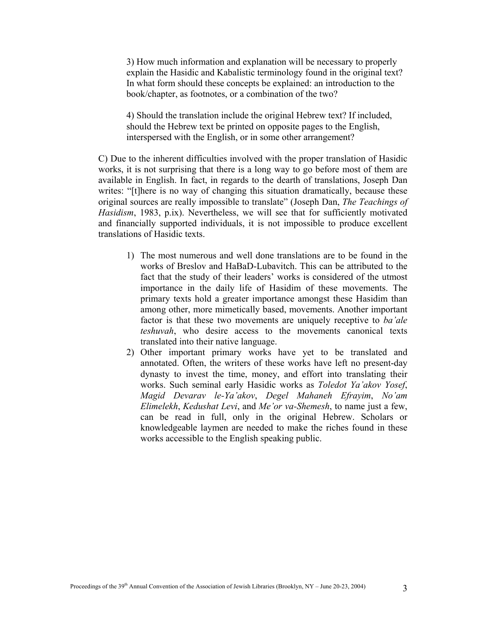3) How much information and explanation will be necessary to properly explain the Hasidic and Kabalistic terminology found in the original text? In what form should these concepts be explained: an introduction to the book/chapter, as footnotes, or a combination of the two?

4) Should the translation include the original Hebrew text? If included, should the Hebrew text be printed on opposite pages to the English, interspersed with the English, or in some other arrangement?

C) Due to the inherent difficulties involved with the proper translation of Hasidic works, it is not surprising that there is a long way to go before most of them are available in English. In fact, in regards to the dearth of translations, Joseph Dan writes: "[t]here is no way of changing this situation dramatically, because these original sources are really impossible to translate" (Joseph Dan, *The Teachings of Hasidism*, 1983, p.ix). Nevertheless, we will see that for sufficiently motivated and financially supported individuals, it is not impossible to produce excellent translations of Hasidic texts.

- 1) The most numerous and well done translations are to be found in the works of Breslov and HaBaD-Lubavitch. This can be attributed to the fact that the study of their leaders' works is considered of the utmost importance in the daily life of Hasidim of these movements. The primary texts hold a greater importance amongst these Hasidim than among other, more mimetically based, movements. Another important factor is that these two movements are uniquely receptive to *ba'ale teshuvah*, who desire access to the movements canonical texts translated into their native language.
- 2) Other important primary works have yet to be translated and annotated. Often, the writers of these works have left no present-day dynasty to invest the time, money, and effort into translating their works. Such seminal early Hasidic works as *Toledot Ya'akov Yosef*, *Magid Devarav le-Ya'akov*, *Degel Mahaneh Efrayim*, *No'am Elimelekh*, *Kedushat Levi*, and *Me'or va-Shemesh*, to name just a few, can be read in full, only in the original Hebrew. Scholars or knowledgeable laymen are needed to make the riches found in these works accessible to the English speaking public.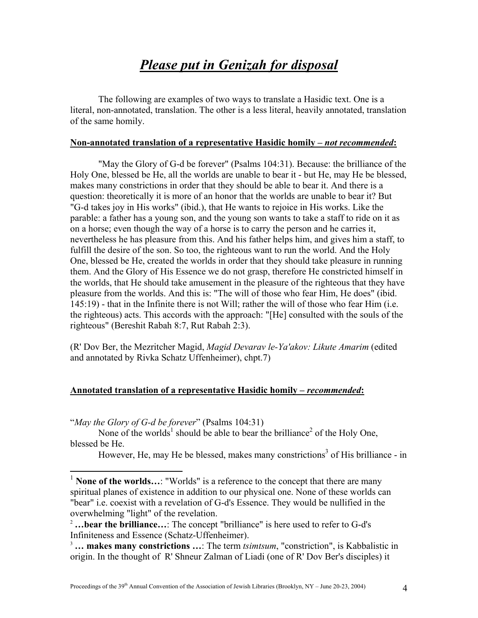### *Please put in Genizah for disposal*

<span id="page-3-2"></span>The following are examples of two ways to translate a Hasidic text. One is a literal, non-annotated, translation. The other is a less literal, heavily annotated, translation of the same homily.

#### **Non-annotated translation of a representative Hasidic homily –** *not recommended***:**

"May the Glory of G-d be forever" (Psalms 104:31). Because: the brilliance of the Holy One, blessed be He, all the worlds are unable to bear it - but He, may He be blessed, makes many constrictions in order that they should be able to bear it. And there is a question: theoretically it is more of an honor that the worlds are unable to bear it? But "G-d takes joy in His works" (ibid.), that He wants to rejoice in His works. Like the parable: a father has a young son, and the young son wants to take a staff to ride on it as on a horse; even though the way of a horse is to carry the person and he carries it, nevertheless he has pleasure from this. And his father helps him, and gives him a staff, to fulfill the desire of the son. So too, the righteous want to run the world. And the Holy One, blessed be He, created the worlds in order that they should take pleasure in running them. And the Glory of His Essence we do not grasp, therefore He constricted himself in the worlds, that He should take amusement in the pleasure of the righteous that they have pleasure from the worlds. And this is: "The will of those who fear Him, He does" (ibid. 145:19) - that in the Infinite there is not Will; rather the will of those who fear Him (i.e. the righteous) acts. This accords with the approach: "[He] consulted with the souls of the righteous" (Bereshit Rabah 8:7, Rut Rabah 2:3).

(R' Dov Ber, the Mezritcher Magid, *Magid Devarav le-Ya'akov: Likute Amarim* (edited and annotated by Rivka Schatz Uffenheimer), chpt.7)

#### **Annotated translation of a representative Hasidic homily –** *recommended***:**

"*May the Glory of G-d be forever*" (Psalms 104:31)

1

None [o](#page-3-1)f the worlds<sup>1</sup> should be able to bear the brilliance<sup>2</sup> of the Holy One, blessed be He.

However, He, may He be blessed, makes many constrictions<sup>[3](#page-3-2)</sup> of His brilliance - in

<span id="page-3-0"></span><sup>&</sup>lt;sup>1</sup> **None of the worlds...**: "Worlds" is a reference to the concept that there are many spiritual planes of existence in addition to our physical one. None of these worlds can "bear" i.e. coexist with a revelation of G-d's Essence. They would be nullified in the overwhelming "light" of the revelation.<br><sup>2</sup> ...bear the brilliance...: The concept "brilliance" is here used to refer to G-d's

<span id="page-3-1"></span>Infiniteness and Essence (Schatz-Uffenheimer).

<sup>3</sup> **… makes many constrictions …**: The term *tsimtsum*, "constriction", is Kabbalistic in origin. In the thought of R' Shneur Zalman of Liadi (one of R' Dov Ber's disciples) it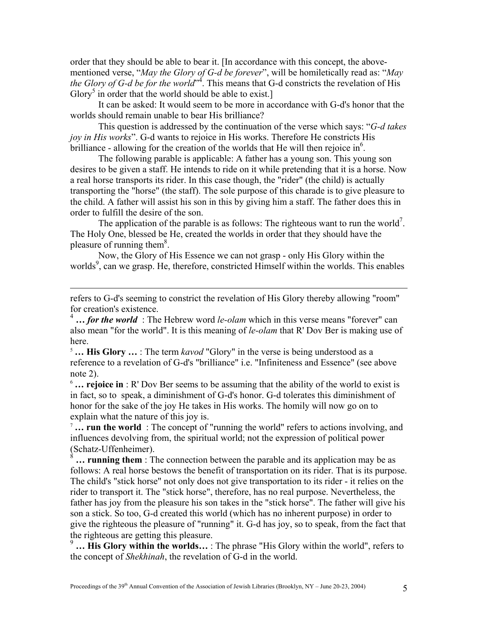order that they should be able to bear it. [In accordance with this concept, the abovementioned verse, "*May the Glory of G-d be forever*", will be homiletically read as: "*May the Glory of G-d be for the world*<sup> $34$ </sup>[.](#page-4-0) This means that G-d constricts the revelation of His Glory<sup>5</sup> in order that the world should be able to exist.]

It can be asked: It would seem to be more in accordance with G-d's honor that the worlds should remain unable to bear His brilliance?

This question is addressed by the continuation of the verse which says: "*G-d takes joy in His works*". G-d wants to rejoice in His works. Therefore He constricts His brilliance - allowing for the creation of the worlds that He will then rejoice in<sup>6</sup>.

The following parable is applicable: A father has a young son. This young son desires to be given a staff. He intends to ride on it while pretending that it is a horse. Now a real horse transports its rider. In this case though, the "rider" (the child) is actually transporting the "horse" (the staff). The sole purpose of this charade is to give pleasure to the child. A father will assist his son in this by giving him a staff. The father does this in order to fulfill the desire of the son.

The application of the parable is as follows: The righteous want to run the world<sup>[7](#page-4-3)</sup>. The Holy One, blessed be He, created the worlds in order that they should have the pleasure of running them<sup>8</sup>.

Now, the Glory of His Essence we can not grasp - only His Glory within the worlds<sup>[9](#page-4-5)</sup>, can we grasp. He, therefore, constricted Himself within the worlds. This enables

refers to G-d's seeming to constrict the revelation of His Glory thereby allowing "room" for creation's existence.

 $\overline{a}$ 

<span id="page-4-0"></span><sup>4</sup> ... *for the world* : The Hebrew word *le-olam* which in this verse means "forever" can also mean "for the world". It is this meaning of *le-olam* that R' Dov Ber is making use of here.

<span id="page-4-1"></span><sup>5</sup> **… His Glory …** : The term *kavod* "Glory" in the verse is being understood as a reference to a revelation of G-d's "brilliance" i.e. "Infiniteness and Essence" (see above note 2).

<span id="page-4-2"></span><sup>6</sup> **… rejoice in** : R' Dov Ber seems to be assuming that the ability of the world to exist is in fact, so to speak, a diminishment of G-d's honor. G-d tolerates this diminishment of honor for the sake of the joy He takes in His works. The homily will now go on to explain what the nature of this joy is.

<span id="page-4-3"></span><sup>7</sup>... run the world : The concept of "running the world" refers to actions involving, and influences devolving from, the spiritual world; not the expression of political power (Schatz-Uffenheimer).

<span id="page-4-4"></span>**... running them** : The connection between the parable and its application may be as follows: A real horse bestows the benefit of transportation on its rider. That is its purpose. The child's "stick horse" not only does not give transportation to its rider - it relies on the rider to transport it. The "stick horse", therefore, has no real purpose. Nevertheless, the father has joy from the pleasure his son takes in the "stick horse". The father will give his son a stick. So too, G-d created this world (which has no inherent purpose) in order to give the righteous the pleasure of "running" it. G-d has joy, so to speak, from the fact that the righteous are getting this pleasure.

<span id="page-4-5"></span><sup>9</sup> ... His Glory within the worlds... : The phrase "His Glory within the world", refers to the concept of *Shekhinah*, the revelation of G-d in the world.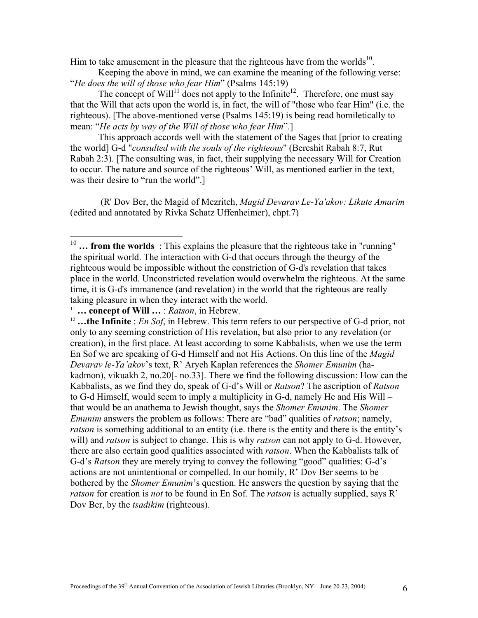Him to take amusement in the pleasure that the righteous have from the worlds $10$ .

Keeping the above in mind, we can examine the meaning of the following verse: "*He does the will of those who fear Him*" (Psalms 145:19)

The concept of Will<sup>11</sup> does not apply to the Infinite<sup>12</sup>. Therefore, one must say that the Will that acts upon the world is, in fact, the will of "those who fear Him" (i.e. the righteous). [The above-mentioned verse (Psalms 145:19) is being read homiletically to mean: "*He acts by way of the Will of those who fear Him*".]

This approach accords well with the statement of the Sages that [prior to creating the world] G-d "*consulted with the souls of the righteous*" (Bereshit Rabah 8:7, Rut Rabah 2:3). [The consulting was, in fact, their supplying the necessary Will for Creation to occur. The nature and source of the righteous' Will, as mentioned earlier in the text, was their desire to "run the world".]

 (R' Dov Ber, the Magid of Mezritch, *Magid Devarav Le-Ya'akov: Likute Amarim* (edited and annotated by Rivka Schatz Uffenheimer), chpt.7)

<u>.</u>

<span id="page-5-0"></span> $10$  ... from the worlds : This explains the pleasure that the righteous take in "running" the spiritual world. The interaction with G-d that occurs through the theurgy of the righteous would be impossible without the constriction of G-d's revelation that takes place in the world. Unconstricted revelation would overwhelm the righteous. At the same time, it is G-d's immanence (and revelation) in the world that the righteous are really taking pleasure in when they interact with the world. 11 **… concept of Will …** : *Ratson*, in Hebrew. 12 **…the Infinite** : *En Sof*, in Hebrew. This term refers to our perspective of G-d prior, not

<span id="page-5-1"></span>

<span id="page-5-2"></span>only to any seeming constriction of His revelation, but also prior to any revelation (or creation), in the first place. At least according to some Kabbalists, when we use the term En Sof we are speaking of G-d Himself and not His Actions. On this line of the *Magid Devarav le-Ya'akov*'s text, R' Aryeh Kaplan references the *Shomer Emunim* (hakadmon), vikuakh 2, no.20[- no.33]. There we find the following discussion: How can the Kabbalists, as we find they do, speak of G-d's Will or *Ratson*? The ascription of *Ratson* to G-d Himself, would seem to imply a multiplicity in G-d, namely He and His Will – that would be an anathema to Jewish thought, says the *Shomer Emunim*. The *Shomer Emunim* answers the problem as follows: There are "bad" qualities of *ratson*; namely, *ratson* is something additional to an entity (i.e. there is the entity and there is the entity's will) and *ratson* is subject to change. This is why *ratson* can not apply to G-d. However, there are also certain good qualities associated with *ratson*. When the Kabbalists talk of G-d's *Ratson* they are merely trying to convey the following "good" qualities: G-d's actions are not unintentional or compelled. In our homily, R' Dov Ber seems to be bothered by the *Shomer Emunim*'s question. He answers the question by saying that the *ratson* for creation is *not* to be found in En Sof. The *ratson* is actually supplied, says R' Dov Ber, by the *tsadikim* (righteous).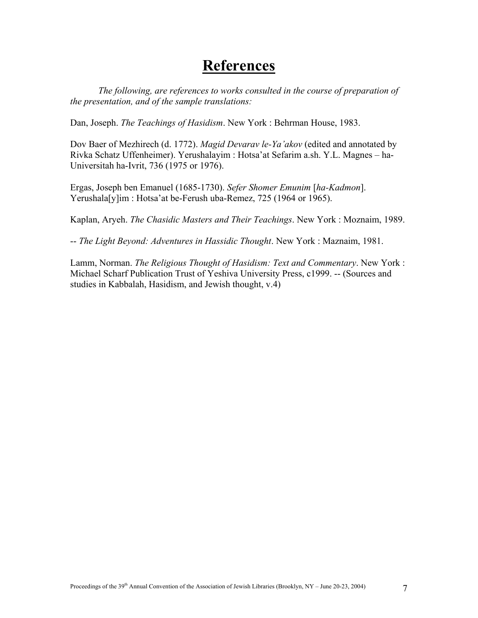### **References**

*The following, are references to works consulted in the course of preparation of the presentation, and of the sample translations:*

Dan, Joseph. *The Teachings of Hasidism*. New York : Behrman House, 1983.

Dov Baer of Mezhirech (d. 1772). *Magid Devarav le-Ya'akov* (edited and annotated by Rivka Schatz Uffenheimer). Yerushalayim : Hotsa'at Sefarim a.sh. Y.L. Magnes – ha-Universitah ha-Ivrit, 736 (1975 or 1976).

Ergas, Joseph ben Emanuel (1685-1730). *Sefer Shomer Emunim* [*ha-Kadmon*]. Yerushala[y]im : Hotsa'at be-Ferush uba-Remez, 725 (1964 or 1965).

Kaplan, Aryeh. *The Chasidic Masters and Their Teachings*. New York : Moznaim, 1989.

-- *The Light Beyond: Adventures in Hassidic Thought*. New York : Maznaim, 1981.

Lamm, Norman. *The Religious Thought of Hasidism: Text and Commentary*. New York : Michael Scharf Publication Trust of Yeshiva University Press, c1999. -- (Sources and studies in Kabbalah, Hasidism, and Jewish thought, v.4)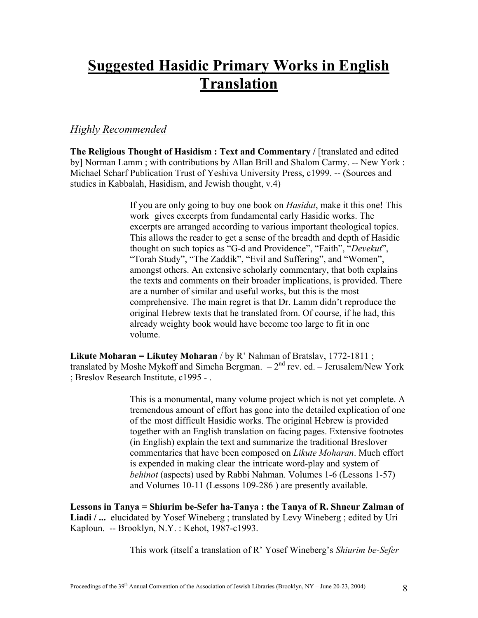# **Suggested Hasidic Primary Works in English Translation**

### *Highly Recommended*

**The Religious Thought of Hasidism : Text and Commentary /** [translated and edited by] Norman Lamm ; with contributions by Allan Brill and Shalom Carmy. -- New York : Michael Scharf Publication Trust of Yeshiva University Press, c1999. -- (Sources and studies in Kabbalah, Hasidism, and Jewish thought, v.4)

> If you are only going to buy one book on *Hasidut*, make it this one! This work gives excerpts from fundamental early Hasidic works. The excerpts are arranged according to various important theological topics. This allows the reader to get a sense of the breadth and depth of Hasidic thought on such topics as "G-d and Providence", "Faith", "*Devekut*", "Torah Study", "The Zaddik", "Evil and Suffering", and "Women", amongst others. An extensive scholarly commentary, that both explains the texts and comments on their broader implications, is provided. There are a number of similar and useful works, but this is the most comprehensive. The main regret is that Dr. Lamm didn't reproduce the original Hebrew texts that he translated from. Of course, if he had, this already weighty book would have become too large to fit in one volume.

**Likute Moharan = Likutey Moharan** / by R' Nahman of Bratslav, 1772-1811 ; translated by Moshe Mykoff and Simcha Bergman.  $-2<sup>nd</sup>$  rev. ed. – Jerusalem/New York ; Breslov Research Institute, c1995 - .

> This is a monumental, many volume project which is not yet complete. A tremendous amount of effort has gone into the detailed explication of one of the most difficult Hasidic works. The original Hebrew is provided together with an English translation on facing pages. Extensive footnotes (in English) explain the text and summarize the traditional Breslover commentaries that have been composed on *Likute Moharan*. Much effort is expended in making clear the intricate word-play and system of *behinot* (aspects) used by Rabbi Nahman. Volumes 1-6 (Lessons 1-57) and Volumes 10-11 (Lessons 109-286 ) are presently available.

**Lessons in Tanya = Shiurim be-Sefer ha-Tanya : the Tanya of R. Shneur Zalman of Liadi / ...** elucidated by Yosef Wineberg ; translated by Levy Wineberg ; edited by Uri Kaploun. -- Brooklyn, N.Y. : Kehot, 1987-c1993.

This work (itself a translation of R' Yosef Wineberg's *Shiurim be-Sefer*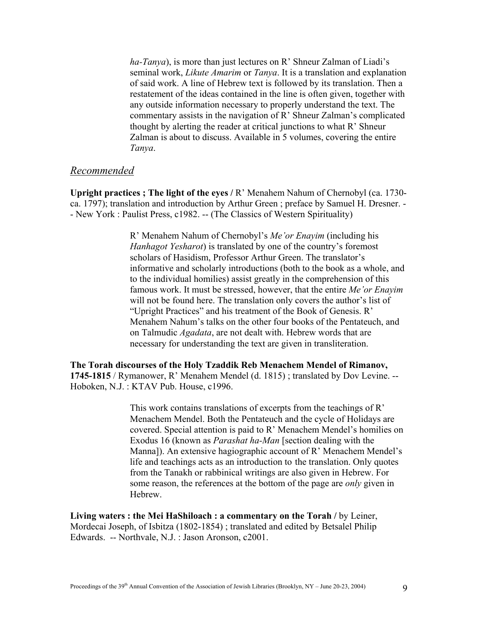*ha-Tanya*), is more than just lectures on R' Shneur Zalman of Liadi's seminal work, *Likute Amarim* or *Tanya*. It is a translation and explanation of said work. A line of Hebrew text is followed by its translation. Then a restatement of the ideas contained in the line is often given, together with any outside information necessary to properly understand the text. The commentary assists in the navigation of R' Shneur Zalman's complicated thought by alerting the reader at critical junctions to what R' Shneur Zalman is about to discuss. Available in 5 volumes, covering the entire *Tanya*.

#### *Recommended*

**Upright practices ; The light of the eyes /** R' Menahem Nahum of Chernobyl (ca. 1730 ca. 1797); translation and introduction by Arthur Green ; preface by Samuel H. Dresner. - - New York : Paulist Press, c1982. -- (The Classics of Western Spirituality)

> R' Menahem Nahum of Chernobyl's *Me'or Enayim* (including his *Hanhagot Yesharot*) is translated by one of the country's foremost scholars of Hasidism, Professor Arthur Green. The translator's informative and scholarly introductions (both to the book as a whole, and to the individual homilies) assist greatly in the comprehension of this famous work. It must be stressed, however, that the entire *Me'or Enayim* will not be found here. The translation only covers the author's list of "Upright Practices" and his treatment of the Book of Genesis. R' Menahem Nahum's talks on the other four books of the Pentateuch, and on Talmudic *Agadata*, are not dealt with. Hebrew words that are necessary for understanding the text are given in transliteration.

**The Torah discourses of the Holy Tzaddik Reb Menachem Mendel of Rimanov, 1745-1815** / Rymanower, R' Menahem Mendel (d. 1815) ; translated by Dov Levine. -- Hoboken, N.J. : KTAV Pub. House, c1996.

> This work contains translations of excerpts from the teachings of R' Menachem Mendel. Both the Pentateuch and the cycle of Holidays are covered. Special attention is paid to R' Menachem Mendel's homilies on Exodus 16 (known as *Parashat ha-Man* [section dealing with the Manna]). An extensive hagiographic account of R' Menachem Mendel's life and teachings acts as an introduction to the translation. Only quotes from the Tanakh or rabbinical writings are also given in Hebrew. For some reason, the references at the bottom of the page are *only* given in Hebrew.

**Living waters : the Mei HaShiloach : a commentary on the Torah / by Leiner,** Mordecai Joseph, of Isbitza (1802-1854) ; translated and edited by Betsalel Philip Edwards. -- Northvale, N.J. : Jason Aronson, c2001.